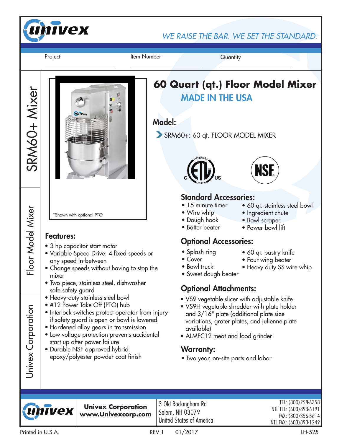